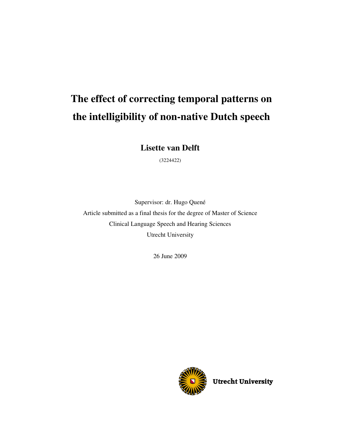# **The effect of correcting temporal patterns on the intelligibility of non-native Dutch speech**

**Lisette van Delft** 

(3224422)

Supervisor: dr. Hugo Quené Article submitted as a final thesis for the degree of Master of Science Clinical Language Speech and Hearing Sciences Utrecht University

26 June 2009



Utrecht University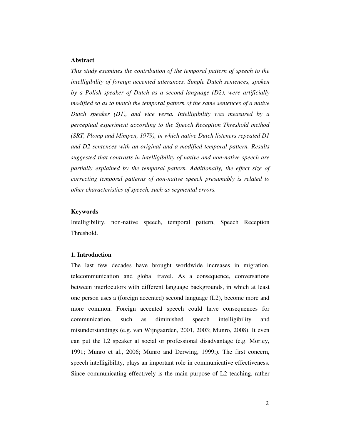#### **Abstract**

*This study examines the contribution of the temporal pattern of speech to the intelligibility of foreign accented utterances. Simple Dutch sentences, spoken by a Polish speaker of Dutch as a second language (D2), were artificially modified so as to match the temporal pattern of the same sentences of a native Dutch speaker (D1), and vice versa. Intelligibility was measured by a perceptual experiment according to the Speech Reception Threshold method (SRT, Plomp and Mimpen, 1979), in which native Dutch listeners repeated D1 and D2 sentences with an original and a modified temporal pattern. Results suggested that contrasts in intelligibility of native and non-native speech are partially explained by the temporal pattern. Additionally, the effect size of correcting temporal patterns of non-native speech presumably is related to other characteristics of speech, such as segmental errors.* 

## **Keywords**

Intelligibility, non-native speech, temporal pattern, Speech Reception Threshold.

#### **1. Introduction**

The last few decades have brought worldwide increases in migration, telecommunication and global travel. As a consequence, conversations between interlocutors with different language backgrounds, in which at least one person uses a (foreign accented) second language (L2), become more and more common. Foreign accented speech could have consequences for communication, such as diminished speech intelligibility and misunderstandings (e.g. van Wijngaarden, 2001, 2003; Munro, 2008). It even can put the L2 speaker at social or professional disadvantage (e.g. Morley, 1991; Munro et al., 2006; Munro and Derwing, 1999;). The first concern, speech intelligibility, plays an important role in communicative effectiveness. Since communicating effectively is the main purpose of L2 teaching, rather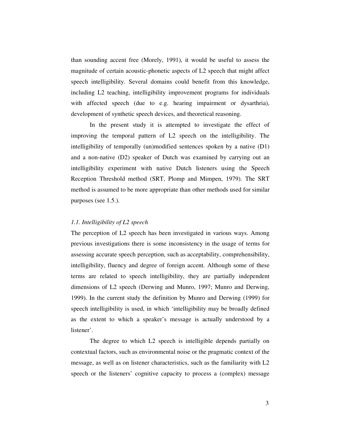than sounding accent free (Morely, 1991), it would be useful to assess the magnitude of certain acoustic-phonetic aspects of L2 speech that might affect speech intelligibility. Several domains could benefit from this knowledge, including L2 teaching, intelligibility improvement programs for individuals with affected speech (due to e.g. hearing impairment or dysarthria), development of synthetic speech devices, and theoretical reasoning.

In the present study it is attempted to investigate the effect of improving the temporal pattern of L2 speech on the intelligibility. The intelligibility of temporally (un)modified sentences spoken by a native (D1) and a non-native (D2) speaker of Dutch was examined by carrying out an intelligibility experiment with native Dutch listeners using the Speech Reception Threshold method (SRT, Plomp and Mimpen, 1979). The SRT method is assumed to be more appropriate than other methods used for similar purposes (see 1.5.).

#### *1.1. Intelligibility of L2 speech*

The perception of L2 speech has been investigated in various ways. Among previous investigations there is some inconsistency in the usage of terms for assessing accurate speech perception, such as acceptability, comprehensibility, intelligibility, fluency and degree of foreign accent. Although some of these terms are related to speech intelligibility, they are partially independent dimensions of L2 speech (Derwing and Munro, 1997; Munro and Derwing, 1999). In the current study the definition by Munro and Derwing (1999) for speech intelligibility is used, in which 'intelligibility may be broadly defined as the extent to which a speaker's message is actually understood by a listener'.

The degree to which L2 speech is intelligible depends partially on contextual factors, such as environmental noise or the pragmatic context of the message, as well as on listener characteristics, such as the familiarity with L2 speech or the listeners' cognitive capacity to process a (complex) message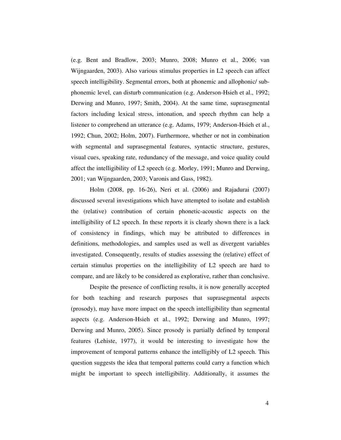(e.g. Bent and Bradlow, 2003; Munro, 2008; Munro et al., 2006; van Wijngaarden, 2003). Also various stimulus properties in L2 speech can affect speech intelligibility. Segmental errors, both at phonemic and allophonic/ subphonemic level, can disturb communication (e.g. Anderson-Hsieh et al., 1992; Derwing and Munro, 1997; Smith, 2004). At the same time, suprasegmental factors including lexical stress, intonation, and speech rhythm can help a listener to comprehend an utterance (e.g. Adams, 1979; Anderson-Hsieh et al., 1992; Chun, 2002; Holm, 2007). Furthermore, whether or not in combination with segmental and suprasegmental features, syntactic structure, gestures, visual cues, speaking rate, redundancy of the message, and voice quality could affect the intelligibility of L2 speech (e.g. Morley, 1991; Munro and Derwing, 2001; van Wijngaarden, 2003; Varonis and Gass, 1982).

Holm (2008, pp. 16-26), Neri et al. (2006) and Rajadurai (2007) discussed several investigations which have attempted to isolate and establish the (relative) contribution of certain phonetic-acoustic aspects on the intelligibility of L2 speech. In these reports it is clearly shown there is a lack of consistency in findings, which may be attributed to differences in definitions, methodologies, and samples used as well as divergent variables investigated. Consequently, results of studies assessing the (relative) effect of certain stimulus properties on the intelligibility of L2 speech are hard to compare, and are likely to be considered as explorative, rather than conclusive.

Despite the presence of conflicting results, it is now generally accepted for both teaching and research purposes that suprasegmental aspects (prosody), may have more impact on the speech intelligibility than segmental aspects (e.g. Anderson-Hsieh et al., 1992; Derwing and Munro, 1997; Derwing and Munro, 2005). Since prosody is partially defined by temporal features (Lehiste, 1977), it would be interesting to investigate how the improvement of temporal patterns enhance the intelligibly of L2 speech. This question suggests the idea that temporal patterns could carry a function which might be important to speech intelligibility. Additionally, it assumes the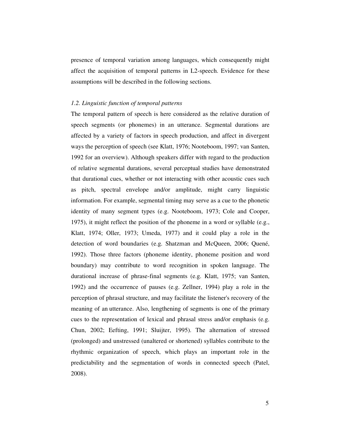presence of temporal variation among languages, which consequently might affect the acquisition of temporal patterns in L2-speech. Evidence for these assumptions will be described in the following sections.

#### *1.2. Linguistic function of temporal patterns*

The temporal pattern of speech is here considered as the relative duration of speech segments (or phonemes) in an utterance. Segmental durations are affected by a variety of factors in speech production, and affect in divergent ways the perception of speech (see Klatt, 1976; Nooteboom, 1997; van Santen, 1992 for an overview). Although speakers differ with regard to the production of relative segmental durations, several perceptual studies have demonstrated that durational cues, whether or not interacting with other acoustic cues such as pitch, spectral envelope and/or amplitude, might carry linguistic information. For example, segmental timing may serve as a cue to the phonetic identity of many segment types (e.g. Nooteboom, 1973; Cole and Cooper, 1975), it might reflect the position of the phoneme in a word or syllable (e.g., Klatt, 1974; Oller, 1973; Umeda, 1977) and it could play a role in the detection of word boundaries (e.g. Shatzman and McQueen, 2006; Quené, 1992). Those three factors (phoneme identity, phoneme position and word boundary) may contribute to word recognition in spoken language. The durational increase of phrase-final segments (e.g. Klatt, 1975; van Santen, 1992) and the occurrence of pauses (e.g. Zellner, 1994) play a role in the perception of phrasal structure, and may facilitate the listener's recovery of the meaning of an utterance. Also, lengthening of segments is one of the primary cues to the representation of lexical and phrasal stress and/or emphasis (e.g. Chun, 2002; Eefting, 1991; Sluijter, 1995). The alternation of stressed (prolonged) and unstressed (unaltered or shortened) syllables contribute to the rhythmic organization of speech, which plays an important role in the predictability and the segmentation of words in connected speech (Patel, 2008).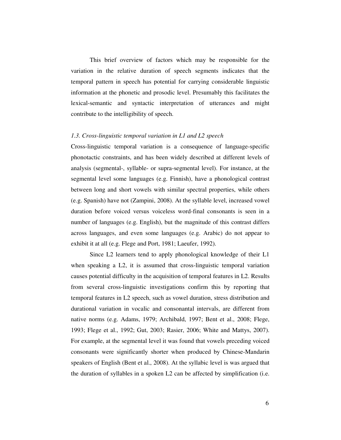This brief overview of factors which may be responsible for the variation in the relative duration of speech segments indicates that the temporal pattern in speech has potential for carrying considerable linguistic information at the phonetic and prosodic level. Presumably this facilitates the lexical-semantic and syntactic interpretation of utterances and might contribute to the intelligibility of speech.

#### *1.3. Cross-linguistic temporal variation in L1 and L2 speech*

Cross-linguistic temporal variation is a consequence of language-specific phonotactic constraints, and has been widely described at different levels of analysis (segmental-, syllable- or supra-segmental level). For instance, at the segmental level some languages (e.g. Finnish), have a phonological contrast between long and short vowels with similar spectral properties, while others (e.g. Spanish) have not (Zampini, 2008). At the syllable level, increased vowel duration before voiced versus voiceless word-final consonants is seen in a number of languages (e.g. English), but the magnitude of this contrast differs across languages, and even some languages (e.g. Arabic) do not appear to exhibit it at all (e.g. Flege and Port, 1981; Laeufer, 1992).

Since L2 learners tend to apply phonological knowledge of their L1 when speaking a L2, it is assumed that cross-linguistic temporal variation causes potential difficulty in the acquisition of temporal features in L2. Results from several cross-linguistic investigations confirm this by reporting that temporal features in L2 speech, such as vowel duration, stress distribution and durational variation in vocalic and consonantal intervals, are different from native norms (e.g. Adams, 1979; Archibald, 1997; Bent et al., 2008; Flege, 1993; Flege et al., 1992; Gut, 2003; Rasier, 2006; White and Mattys, 2007). For example, at the segmental level it was found that vowels preceding voiced consonants were significantly shorter when produced by Chinese-Mandarin speakers of English (Bent et al., 2008). At the syllabic level is was argued that the duration of syllables in a spoken L2 can be affected by simplification (i.e.

6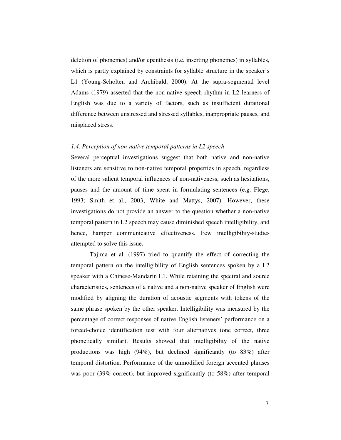deletion of phonemes) and/or epenthesis (i.e. inserting phonemes) in syllables, which is partly explained by constraints for syllable structure in the speaker's L1 (Young-Scholten and Archibald, 2000). At the supra-segmental level Adams (1979) asserted that the non-native speech rhythm in L2 learners of English was due to a variety of factors, such as insufficient durational difference between unstressed and stressed syllables, inappropriate pauses, and misplaced stress.

## *1.4. Perception of non-native temporal patterns in L2 speech*

Several perceptual investigations suggest that both native and non-native listeners are sensitive to non-native temporal properties in speech, regardless of the more salient temporal influences of non-nativeness, such as hesitations, pauses and the amount of time spent in formulating sentences (e.g. Flege, 1993; Smith et al., 2003; White and Mattys, 2007). However, these investigations do not provide an answer to the question whether a non-native temporal pattern in L2 speech may cause diminished speech intelligibility, and hence, hamper communicative effectiveness. Few intelligibility-studies attempted to solve this issue.

Tajima et al. (1997) tried to quantify the effect of correcting the temporal pattern on the intelligibility of English sentences spoken by a L2 speaker with a Chinese-Mandarin L1. While retaining the spectral and source characteristics, sentences of a native and a non-native speaker of English were modified by aligning the duration of acoustic segments with tokens of the same phrase spoken by the other speaker. Intelligibility was measured by the percentage of correct responses of native English listeners' performance on a forced-choice identification test with four alternatives (one correct, three phonetically similar). Results showed that intelligibility of the native productions was high (94%), but declined significantly (to 83%) after temporal distortion. Performance of the unmodified foreign accented phrases was poor (39% correct), but improved significantly (to 58%) after temporal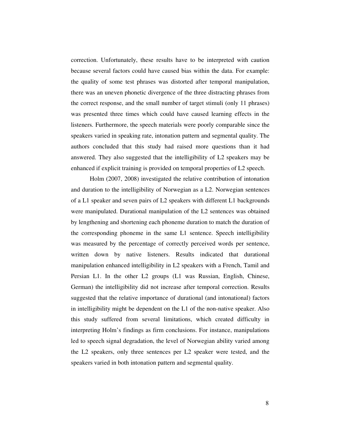correction. Unfortunately, these results have to be interpreted with caution because several factors could have caused bias within the data. For example: the quality of some test phrases was distorted after temporal manipulation, there was an uneven phonetic divergence of the three distracting phrases from the correct response, and the small number of target stimuli (only 11 phrases) was presented three times which could have caused learning effects in the listeners. Furthermore, the speech materials were poorly comparable since the speakers varied in speaking rate, intonation pattern and segmental quality. The authors concluded that this study had raised more questions than it had answered. They also suggested that the intelligibility of L2 speakers may be enhanced if explicit training is provided on temporal properties of L2 speech.

Holm (2007, 2008) investigated the relative contribution of intonation and duration to the intelligibility of Norwegian as a L2. Norwegian sentences of a L1 speaker and seven pairs of L2 speakers with different L1 backgrounds were manipulated. Durational manipulation of the L2 sentences was obtained by lengthening and shortening each phoneme duration to match the duration of the corresponding phoneme in the same L1 sentence. Speech intelligibility was measured by the percentage of correctly perceived words per sentence, written down by native listeners. Results indicated that durational manipulation enhanced intelligibility in L2 speakers with a French, Tamil and Persian L1. In the other L2 groups (L1 was Russian, English, Chinese, German) the intelligibility did not increase after temporal correction. Results suggested that the relative importance of durational (and intonational) factors in intelligibility might be dependent on the L1 of the non-native speaker. Also this study suffered from several limitations, which created difficulty in interpreting Holm's findings as firm conclusions. For instance, manipulations led to speech signal degradation, the level of Norwegian ability varied among the L2 speakers, only three sentences per L2 speaker were tested, and the speakers varied in both intonation pattern and segmental quality.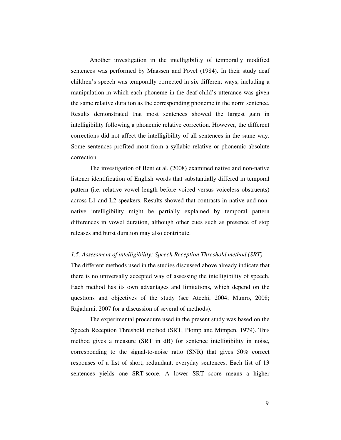Another investigation in the intelligibility of temporally modified sentences was performed by Maassen and Povel (1984). In their study deaf children's speech was temporally corrected in six different ways, including a manipulation in which each phoneme in the deaf child's utterance was given the same relative duration as the corresponding phoneme in the norm sentence. Results demonstrated that most sentences showed the largest gain in intelligibility following a phonemic relative correction. However, the different corrections did not affect the intelligibility of all sentences in the same way. Some sentences profited most from a syllabic relative or phonemic absolute correction.

The investigation of Bent et al. (2008) examined native and non-native listener identification of English words that substantially differed in temporal pattern (i.e. relative vowel length before voiced versus voiceless obstruents) across L1 and L2 speakers. Results showed that contrasts in native and nonnative intelligibility might be partially explained by temporal pattern differences in vowel duration, although other cues such as presence of stop releases and burst duration may also contribute.

## *1.5. Assessment of intelligibility: Speech Reception Threshold method (SRT)*

The different methods used in the studies discussed above already indicate that there is no universally accepted way of assessing the intelligibility of speech. Each method has its own advantages and limitations, which depend on the questions and objectives of the study (see Atechi, 2004; Munro, 2008; Rajadurai, 2007 for a discussion of several of methods).

The experimental procedure used in the present study was based on the Speech Reception Threshold method (SRT, Plomp and Mimpen, 1979). This method gives a measure (SRT in dB) for sentence intelligibility in noise, corresponding to the signal-to-noise ratio (SNR) that gives 50% correct responses of a list of short, redundant, everyday sentences. Each list of 13 sentences yields one SRT-score. A lower SRT score means a higher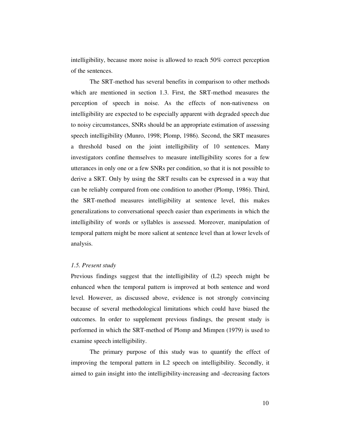intelligibility, because more noise is allowed to reach 50% correct perception of the sentences.

The SRT-method has several benefits in comparison to other methods which are mentioned in section 1.3. First, the SRT-method measures the perception of speech in noise. As the effects of non-nativeness on intelligibility are expected to be especially apparent with degraded speech due to noisy circumstances, SNRs should be an appropriate estimation of assessing speech intelligibility (Munro, 1998; Plomp, 1986). Second, the SRT measures a threshold based on the joint intelligibility of 10 sentences. Many investigators confine themselves to measure intelligibility scores for a few utterances in only one or a few SNRs per condition, so that it is not possible to derive a SRT. Only by using the SRT results can be expressed in a way that can be reliably compared from one condition to another (Plomp, 1986). Third, the SRT-method measures intelligibility at sentence level, this makes generalizations to conversational speech easier than experiments in which the intelligibility of words or syllables is assessed. Moreover, manipulation of temporal pattern might be more salient at sentence level than at lower levels of analysis.

## *1.5. Present study*

Previous findings suggest that the intelligibility of (L2) speech might be enhanced when the temporal pattern is improved at both sentence and word level. However, as discussed above, evidence is not strongly convincing because of several methodological limitations which could have biased the outcomes. In order to supplement previous findings, the present study is performed in which the SRT-method of Plomp and Mimpen (1979) is used to examine speech intelligibility.

The primary purpose of this study was to quantify the effect of improving the temporal pattern in L2 speech on intelligibility. Secondly, it aimed to gain insight into the intelligibility-increasing and -decreasing factors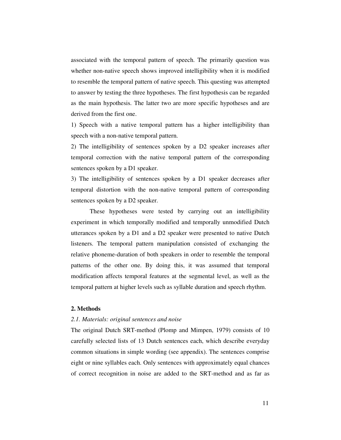associated with the temporal pattern of speech. The primarily question was whether non-native speech shows improved intelligibility when it is modified to resemble the temporal pattern of native speech. This questing was attempted to answer by testing the three hypotheses. The first hypothesis can be regarded as the main hypothesis. The latter two are more specific hypotheses and are derived from the first one.

1) Speech with a native temporal pattern has a higher intelligibility than speech with a non-native temporal pattern.

2) The intelligibility of sentences spoken by a D2 speaker increases after temporal correction with the native temporal pattern of the corresponding sentences spoken by a D1 speaker.

3) The intelligibility of sentences spoken by a D1 speaker decreases after temporal distortion with the non-native temporal pattern of corresponding sentences spoken by a D2 speaker.

These hypotheses were tested by carrying out an intelligibility experiment in which temporally modified and temporally unmodified Dutch utterances spoken by a D1 and a D2 speaker were presented to native Dutch listeners. The temporal pattern manipulation consisted of exchanging the relative phoneme-duration of both speakers in order to resemble the temporal patterns of the other one. By doing this, it was assumed that temporal modification affects temporal features at the segmental level, as well as the temporal pattern at higher levels such as syllable duration and speech rhythm.

## **2. Methods**

### *2.1. Materials: original sentences and noise*

The original Dutch SRT-method (Plomp and Mimpen, 1979) consists of 10 carefully selected lists of 13 Dutch sentences each, which describe everyday common situations in simple wording (see appendix). The sentences comprise eight or nine syllables each. Only sentences with approximately equal chances of correct recognition in noise are added to the SRT-method and as far as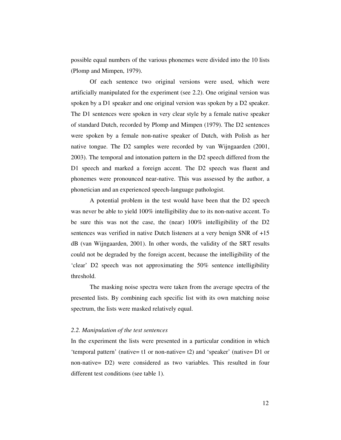possible equal numbers of the various phonemes were divided into the 10 lists (Plomp and Mimpen, 1979).

Of each sentence two original versions were used, which were artificially manipulated for the experiment (see 2.2). One original version was spoken by a D1 speaker and one original version was spoken by a D2 speaker. The D1 sentences were spoken in very clear style by a female native speaker of standard Dutch, recorded by Plomp and Mimpen (1979). The D2 sentences were spoken by a female non-native speaker of Dutch, with Polish as her native tongue. The D2 samples were recorded by van Wijngaarden (2001, 2003). The temporal and intonation pattern in the D2 speech differed from the D1 speech and marked a foreign accent. The D2 speech was fluent and phonemes were pronounced near-native. This was assessed by the author, a phonetician and an experienced speech-language pathologist.

A potential problem in the test would have been that the D2 speech was never be able to yield 100% intelligibility due to its non-native accent. To be sure this was not the case, the (near) 100% intelligibility of the D2 sentences was verified in native Dutch listeners at a very benign SNR of +15 dB (van Wijngaarden, 2001). In other words, the validity of the SRT results could not be degraded by the foreign accent, because the intelligibility of the 'clear' D2 speech was not approximating the 50% sentence intelligibility threshold.

The masking noise spectra were taken from the average spectra of the presented lists. By combining each specific list with its own matching noise spectrum, the lists were masked relatively equal.

## *2.2. Manipulation of the test sentences*

In the experiment the lists were presented in a particular condition in which 'temporal pattern' (native= t1 or non-native= t2) and 'speaker' (native= D1 or non-native= D2) were considered as two variables. This resulted in four different test conditions (see table 1).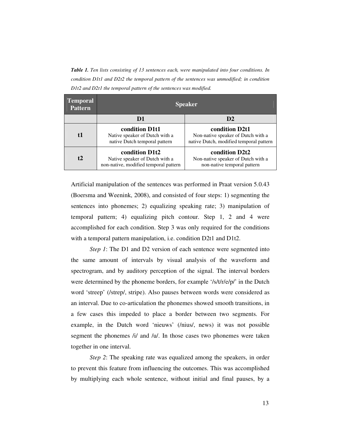*Table 1. Ten lists consisting of 13 sentences each, were manipulated into four conditions. In condition D1t1 and D2t2 the temporal pattern of the sentences was unmodified; in condition D1t2 and D2t1 the temporal pattern of the sentences was modified.* 

| <b>Temporal</b><br><b>Pattern</b> | <b>Speaker</b>                                                                            |                                                                                                 |
|-----------------------------------|-------------------------------------------------------------------------------------------|-------------------------------------------------------------------------------------------------|
|                                   | D1                                                                                        | D <sub>2</sub>                                                                                  |
| f1                                | condition D1t1<br>Native speaker of Dutch with a<br>native Dutch temporal pattern         | condition D2t1<br>Non-native speaker of Dutch with a<br>native Dutch, modified temporal pattern |
| t2                                | condition D1t2<br>Native speaker of Dutch with a<br>non-native, modified temporal pattern | condition D2t2<br>Non-native speaker of Dutch with a<br>non-native temporal pattern             |

Artificial manipulation of the sentences was performed in Praat version 5.0.43 (Boersma and Weenink, 2008), and consisted of four steps: 1) segmenting the sentences into phonemes; 2) equalizing speaking rate; 3) manipulation of temporal pattern; 4) equalizing pitch contour. Step 1, 2 and 4 were accomplished for each condition. Step 3 was only required for the conditions with a temporal pattern manipulation, i.e. condition D2t1 and D1t2.

*Step 1*: The D1 and D2 version of each sentence were segmented into the same amount of intervals by visual analysis of the waveform and spectrogram, and by auditory perception of the signal. The interval borders were determined by the phoneme borders, for example '/s/t/r/e/p/' in the Dutch word 'streep' (/strep/, stripe). Also pauses between words were considered as an interval. Due to co-articulation the phonemes showed smooth transitions, in a few cases this impeded to place a border between two segments. For example, in the Dutch word 'nieuws' (/nius/, news) it was not possible segment the phonemes /i/ and /u/. In those cases two phonemes were taken together in one interval.

*Step 2*: The speaking rate was equalized among the speakers, in order to prevent this feature from influencing the outcomes. This was accomplished by multiplying each whole sentence, without initial and final pauses, by a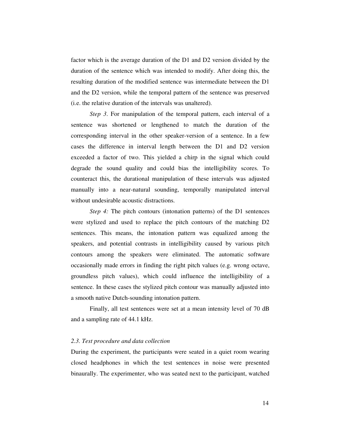factor which is the average duration of the D1 and D2 version divided by the duration of the sentence which was intended to modify. After doing this, the resulting duration of the modified sentence was intermediate between the D1 and the D2 version, while the temporal pattern of the sentence was preserved (i.e. the relative duration of the intervals was unaltered).

*Step 3*. For manipulation of the temporal pattern, each interval of a sentence was shortened or lengthened to match the duration of the corresponding interval in the other speaker-version of a sentence. In a few cases the difference in interval length between the D1 and D2 version exceeded a factor of two. This yielded a chirp in the signal which could degrade the sound quality and could bias the intelligibility scores. To counteract this, the durational manipulation of these intervals was adjusted manually into a near-natural sounding, temporally manipulated interval without undesirable acoustic distractions.

*Step 4:* The pitch contours (intonation patterns) of the D1 sentences were stylized and used to replace the pitch contours of the matching D2 sentences. This means, the intonation pattern was equalized among the speakers, and potential contrasts in intelligibility caused by various pitch contours among the speakers were eliminated. The automatic software occasionally made errors in finding the right pitch values (e.g. wrong octave, groundless pitch values), which could influence the intelligibility of a sentence. In these cases the stylized pitch contour was manually adjusted into a smooth native Dutch-sounding intonation pattern.

Finally, all test sentences were set at a mean intensity level of 70 dB and a sampling rate of 44.1 kHz.

#### *2.3. Test procedure and data collection*

During the experiment, the participants were seated in a quiet room wearing closed headphones in which the test sentences in noise were presented binaurally. The experimenter, who was seated next to the participant, watched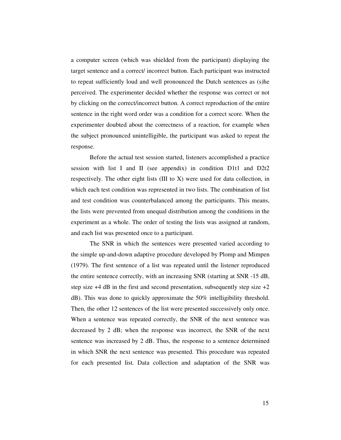a computer screen (which was shielded from the participant) displaying the target sentence and a correct/ incorrect button. Each participant was instructed to repeat sufficiently loud and well pronounced the Dutch sentences as (s)he perceived. The experimenter decided whether the response was correct or not by clicking on the correct/incorrect button. A correct reproduction of the entire sentence in the right word order was a condition for a correct score. When the experimenter doubted about the correctness of a reaction, for example when the subject pronounced unintelligible, the participant was asked to repeat the response.

Before the actual test session started, listeners accomplished a practice session with list I and II (see appendix) in condition D1t1 and D2t2 respectively. The other eight lists (III to X) were used for data collection, in which each test condition was represented in two lists. The combination of list and test condition was counterbalanced among the participants. This means, the lists were prevented from unequal distribution among the conditions in the experiment as a whole. The order of testing the lists was assigned at random, and each list was presented once to a participant.

The SNR in which the sentences were presented varied according to the simple up-and-down adaptive procedure developed by Plomp and Mimpen (1979). The first sentence of a list was repeated until the listener reproduced the entire sentence correctly, with an increasing SNR (starting at SNR -15 dB, step size  $+4$  dB in the first and second presentation, subsequently step size  $+2$ dB). This was done to quickly approximate the 50% intelligibility threshold. Then, the other 12 sentences of the list were presented successively only once. When a sentence was repeated correctly, the SNR of the next sentence was decreased by 2 dB; when the response was incorrect, the SNR of the next sentence was increased by 2 dB. Thus, the response to a sentence determined in which SNR the next sentence was presented. This procedure was repeated for each presented list. Data collection and adaptation of the SNR was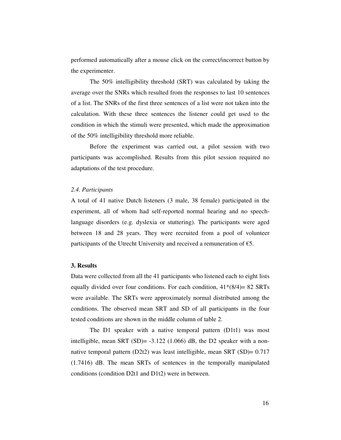performed automatically after a mouse click on the correct/incorrect button by the experimenter.

The 50% intelligibility threshold (SRT) was calculated by taking the average over the SNRs which resulted from the responses to last 10 sentences of a list. The SNRs of the first three sentences of a list were not taken into the calculation. With these three sentences the listener could get used to the condition in which the stimuli were presented, which made the approximation of the 50% intelligibility threshold more reliable.

 Before the experiment was carried out, a pilot session with two participants was accomplished. Results from this pilot session required no adaptations of the test procedure.

#### *2.4. Participants*

A total of 41 native Dutch listeners (3 male, 38 female) participated in the experiment, all of whom had self-reported normal hearing and no speechlanguage disorders (e.g. dyslexia or stuttering). The participants were aged between 18 and 28 years. They were recruited from a pool of volunteer participants of the Utrecht University and received a remuneration of  $\epsilon$ 5.

## **3. Results**

Data were collected from all the 41 participants who listened each to eight lists equally divided over four conditions. For each condition,  $41*(8/4) = 82$  SRTs were available. The SRTs were approximately normal distributed among the conditions. The observed mean SRT and SD of all participants in the four tested conditions are shown in the middle column of table 2.

The D1 speaker with a native temporal pattern (D1t1) was most intelligible, mean SRT (SD)= -3.122 (1.066) dB, the D2 speaker with a nonnative temporal pattern  $(D2t2)$  was least intelligible, mean SRT  $(SD)= 0.717$ (1.7416) dB. The mean SRTs of sentences in the temporally manipulated conditions (condition D2t1 and D1t2) were in between.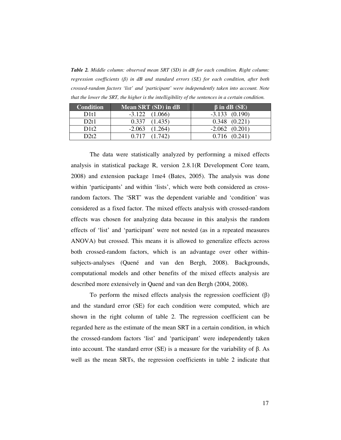*Table 2. Middle column: observed mean SRT (SD) in dB for each condition. Right column: regression coefficients (*β*) in dB and standard errors (SE) for each condition, after both crossed-random factors 'list' and 'participant' were independently taken into account. Note that the lower the SRT, the higher is the intelligibility of the sentences in a certain condition.* 

| <b>Condition</b> | Mean SRT (SD) in dB | $\beta$ in dB (SE) |
|------------------|---------------------|--------------------|
| D1t1             | $-3.122$ $(1.066)$  | $-3.133$ $(0.190)$ |
| D2t1             | 0.337<br>(1.435)    | $0.348$ $(0.221)$  |
| D1t2             | $-2.063$<br>(1.264) | $-2.062$ $(0.201)$ |
| D2t2             | (1717)<br>(1.742)   | $0.716$ $(0.241)$  |

The data were statistically analyzed by performing a mixed effects analysis in statistical package R, version 2.8.1(R Development Core team, 2008) and extension package 1me4 (Bates, 2005). The analysis was done within 'participants' and within 'lists', which were both considered as crossrandom factors. The 'SRT' was the dependent variable and 'condition' was considered as a fixed factor. The mixed effects analysis with crossed-random effects was chosen for analyzing data because in this analysis the random effects of 'list' and 'participant' were not nested (as in a repeated measures ANOVA) but crossed. This means it is allowed to generalize effects across both crossed-random factors, which is an advantage over other withinsubjects-analyses (Quené and van den Bergh, 2008). Backgrounds, computational models and other benefits of the mixed effects analysis are described more extensively in Quené and van den Bergh (2004, 2008).

To perform the mixed effects analysis the regression coefficient  $(\beta)$ and the standard error (SE) for each condition were computed, which are shown in the right column of table 2. The regression coefficient can be regarded here as the estimate of the mean SRT in a certain condition, in which the crossed-random factors 'list' and 'participant' were independently taken into account. The standard error (SE) is a measure for the variability of β. As well as the mean SRTs, the regression coefficients in table 2 indicate that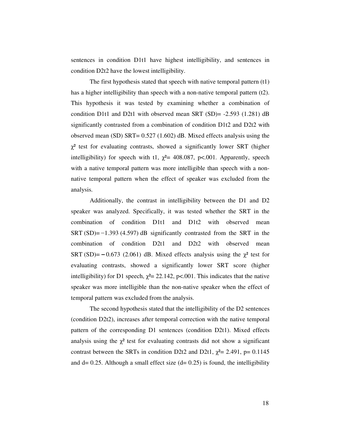sentences in condition D1t1 have highest intelligibility, and sentences in condition D2t2 have the lowest intelligibility.

The first hypothesis stated that speech with native temporal pattern (t1) has a higher intelligibility than speech with a non-native temporal pattern (t2). This hypothesis it was tested by examining whether a combination of condition D1t1 and D2t1 with observed mean SRT (SD)= -2.593 (1.281) dB significantly contrasted from a combination of condition D1t2 and D2t2 with observed mean (SD) SRT= 0.527 (1.602) dB. Mixed effects analysis using the  $\chi^2$  test for evaluating contrasts, showed a significantly lower SRT (higher intelligibility) for speech with t1,  $\chi^2$ = 408.087, p<.001. Apparently, speech with a native temporal pattern was more intelligible than speech with a nonnative temporal pattern when the effect of speaker was excluded from the analysis.

Additionally, the contrast in intelligibility between the D1 and D2 speaker was analyzed. Specifically, it was tested whether the SRT in the combination of condition D1t1 and D1t2 with observed mean SRT  $(SD) = -1.393$  (4.597) dB significantly contrasted from the SRT in the combination of condition D2t1 and D2t2 with observed mean SRT (SD)=  $-0.673$  (2.061) dB. Mixed effects analysis using the  $\chi^2$  test for evaluating contrasts, showed a significantly lower SRT score (higher intelligibility) for D1 speech,  $\chi^2$  = 22.142, p<.001. This indicates that the native speaker was more intelligible than the non-native speaker when the effect of temporal pattern was excluded from the analysis.

The second hypothesis stated that the intelligibility of the D2 sentences (condition D2t2), increases after temporal correction with the native temporal pattern of the corresponding D1 sentences (condition D2t1). Mixed effects analysis using the  $\chi^2$  test for evaluating contrasts did not show a significant contrast between the SRTs in condition D2t2 and D2t1,  $\chi^2$  = 2.491, p= 0.1145 and  $d= 0.25$ . Although a small effect size  $(d= 0.25)$  is found, the intelligibility

18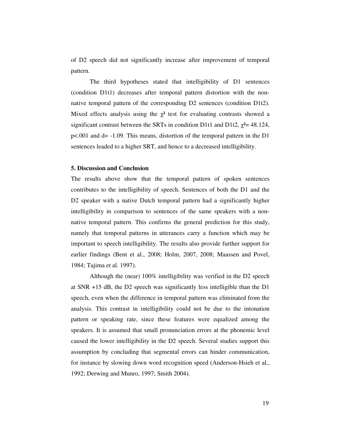of D2 speech did not significantly increase after improvement of temporal pattern.

The third hypotheses stated that intelligibility of D1 sentences (condition D1t1) decreases after temporal pattern distortion with the nonnative temporal pattern of the corresponding D2 sentences (condition D1t2). Mixed effects analysis using the  $\chi^2$  test for evaluating contrasts showed a significant contrast between the SRTs in condition D1t1 and D1t2,  $\chi^2$  = 48.124, p<.001 and d= -1.09. This means, distortion of the temporal pattern in the D1 sentences leaded to a higher SRT, and hence to a decreased intelligibility.

### **5. Discussion and Conclusion**

The results above show that the temporal pattern of spoken sentences contributes to the intelligibility of speech. Sentences of both the D1 and the D2 speaker with a native Dutch temporal pattern had a significantly higher intelligibility in comparison to sentences of the same speakers with a nonnative temporal pattern. This confirms the general prediction for this study, namely that temporal patterns in utterances carry a function which may be important to speech intelligibility. The results also provide further support for earlier findings (Bent et al., 2008; Holm, 2007, 2008; Maassen and Povel, 1984; Tajima et al. 1997).

Although the (near) 100% intelligibility was verified in the D2 speech at SNR +15 dB, the D2 speech was significantly less intelligible than the D1 speech, even when the difference in temporal pattern was eliminated from the analysis. This contrast in intelligibility could not be due to the intonation pattern or speaking rate, since these features were equalized among the speakers. It is assumed that small pronunciation errors at the phonemic level caused the lower intelligibility in the D2 speech. Several studies support this assumption by concluding that segmental errors can hinder communication, for instance by slowing down word recognition speed (Anderson-Hsieh et al., 1992; Derwing and Munro, 1997; Smith 2004).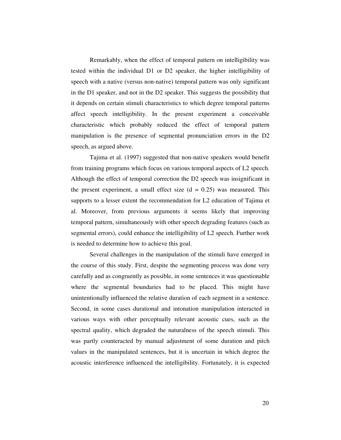Remarkably, when the effect of temporal pattern on intelligibility was tested within the individual D1 or D2 speaker, the higher intelligibility of speech with a native (versus non-native) temporal pattern was only significant in the D1 speaker, and not in the D2 speaker. This suggests the possibility that it depends on certain stimuli characteristics to which degree temporal patterns affect speech intelligibility. In the present experiment a conceivable characteristic which probably reduced the effect of temporal pattern manipulation is the presence of segmental pronunciation errors in the D2 speech, as argued above.

Tajima et al. (1997) suggested that non-native speakers would benefit from training programs which focus on various temporal aspects of L2 speech. Although the effect of temporal correction the D2 speech was insignificant in the present experiment, a small effect size  $(d = 0.25)$  was measured. This supports to a lesser extent the recommendation for L2 education of Tajima et al. Moreover, from previous arguments it seems likely that improving temporal pattern, simultaneously with other speech degrading features (such as segmental errors), could enhance the intelligibility of L2 speech. Further work is needed to determine how to achieve this goal.

Several challenges in the manipulation of the stimuli have emerged in the course of this study. First, despite the segmenting process was done very carefully and as congruently as possible, in some sentences it was questionable where the segmental boundaries had to be placed. This might have unintentionally influenced the relative duration of each segment in a sentence. Second, in some cases durational and intonation manipulation interacted in various ways with other perceptually relevant acoustic cues, such as the spectral quality, which degraded the naturalness of the speech stimuli. This was partly counteracted by manual adjustment of some duration and pitch values in the manipulated sentences, but it is uncertain in which degree the acoustic interference influenced the intelligibility. Fortunately, it is expected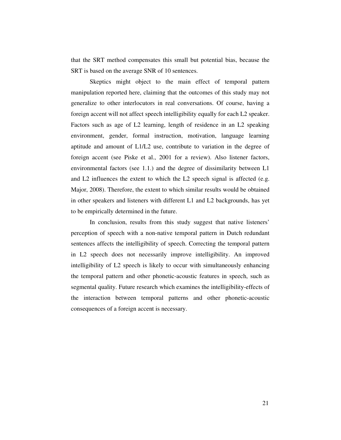that the SRT method compensates this small but potential bias, because the SRT is based on the average SNR of 10 sentences.

Skeptics might object to the main effect of temporal pattern manipulation reported here, claiming that the outcomes of this study may not generalize to other interlocutors in real conversations. Of course, having a foreign accent will not affect speech intelligibility equally for each L2 speaker. Factors such as age of L2 learning, length of residence in an L2 speaking environment, gender, formal instruction, motivation, language learning aptitude and amount of L1/L2 use, contribute to variation in the degree of foreign accent (see Piske et al., 2001 for a review). Also listener factors, environmental factors (see 1.1.) and the degree of dissimilarity between L1 and L2 influences the extent to which the L2 speech signal is affected (e.g. Major, 2008). Therefore, the extent to which similar results would be obtained in other speakers and listeners with different L1 and L2 backgrounds, has yet to be empirically determined in the future.

In conclusion, results from this study suggest that native listeners' perception of speech with a non-native temporal pattern in Dutch redundant sentences affects the intelligibility of speech. Correcting the temporal pattern in L2 speech does not necessarily improve intelligibility. An improved intelligibility of L2 speech is likely to occur with simultaneously enhancing the temporal pattern and other phonetic-acoustic features in speech, such as segmental quality. Future research which examines the intelligibility-effects of the interaction between temporal patterns and other phonetic-acoustic consequences of a foreign accent is necessary.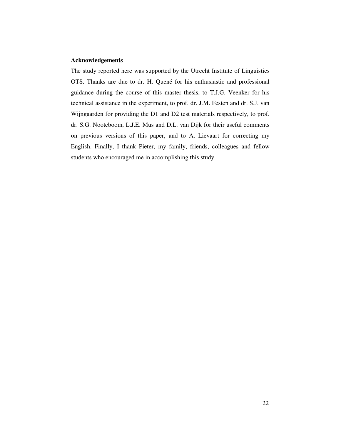### **Acknowledgements**

The study reported here was supported by the Utrecht Institute of Linguistics OTS. Thanks are due to dr. H. Quené for his enthusiastic and professional guidance during the course of this master thesis, to T.J.G. Veenker for his technical assistance in the experiment, to prof. dr. J.M. Festen and dr. S.J. van Wijngaarden for providing the D1 and D2 test materials respectively, to prof. dr. S.G. Nooteboom, L.J.E. Mus and D.L. van Dijk for their useful comments on previous versions of this paper, and to A. Lievaart for correcting my English. Finally, I thank Pieter, my family, friends, colleagues and fellow students who encouraged me in accomplishing this study.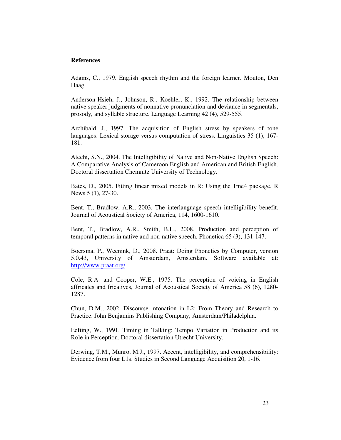## **References**

Adams, C., 1979. English speech rhythm and the foreign learner. Mouton, Den Haag.

Anderson-Hsieh, J., Johnson, R., Koehler, K., 1992. The relationship between native speaker judgments of nonnative pronunciation and deviance in segmentals, prosody, and syllable structure. Language Learning 42 (4), 529-555.

Archibald, J., 1997. The acquisition of English stress by speakers of tone languages: Lexical storage versus computation of stress. Linguistics 35 (1), 167- 181.

Atechi, S.N., 2004. The Intelligibility of Native and Non-Native English Speech: A Comparative Analysis of Cameroon English and American and British English. Doctoral dissertation Chemnitz University of Technology.

Bates, D., 2005. Fitting linear mixed models in R: Using the 1me4 package. R News 5 (1), 27-30.

Bent, T., Bradlow, A.R., 2003. The interlanguage speech intelligibility benefit. Journal of Acoustical Society of America, 114, 1600-1610.

Bent, T., Bradlow, A.R., Smith, B.L., 2008. Production and perception of temporal patterns in native and non-native speech. Phonetica 65 (3), 131-147.

Boersma, P., Weenink, D., 2008. Praat: Doing Phonetics by Computer, version 5.0.43, University of Amsterdam, Amsterdam. Software available at: http://www.praat.org/

Cole, R.A. and Cooper, W.E., 1975. The perception of voicing in English affricates and fricatives, Journal of Acoustical Society of America 58 (6), 1280- 1287.

Chun, D.M., 2002. Discourse intonation in L2: From Theory and Research to Practice. John Benjamins Publishing Company, Amsterdam/Philadelphia.

Eefting, W., 1991. Timing in Talking: Tempo Variation in Production and its Role in Perception. Doctoral dissertation Utrecht University.

Derwing, T.M., Munro, M.J., 1997. Accent, intelligibility, and comprehensibility: Evidence from four L1s. Studies in Second Language Acquisition 20, 1-16.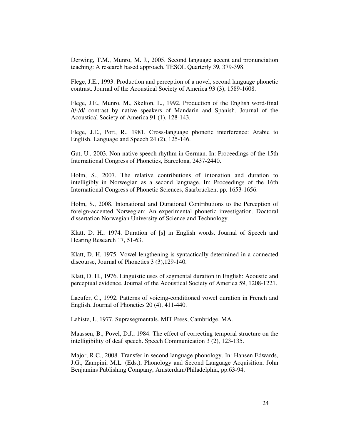Derwing, T.M., Munro, M. J., 2005. Second language accent and pronunciation teaching: A research based approach. TESOL Quarterly 39, 379-398.

Flege, J.E., 1993. Production and perception of a novel, second language phonetic contrast. Journal of the Acoustical Society of America 93 (3), 1589-1608.

Flege, J.E., Munro, M., Skelton, L., 1992. Production of the English word-final /t/-/d/ contrast by native speakers of Mandarin and Spanish. Journal of the Acoustical Society of America 91 (1), 128-143.

Flege, J.E., Port, R., 1981. Cross-language phonetic interference: Arabic to English. Language and Speech 24 (2), 125-146.

Gut, U., 2003. Non-native speech rhythm in German. In: Proceedings of the 15th International Congress of Phonetics, Barcelona, 2437-2440.

Holm, S., 2007. The relative contributions of intonation and duration to intelligibly in Norwegian as a second language. In: Proceedings of the 16th International Congress of Phonetic Sciences, Saarbrücken, pp. 1653-1656.

Holm, S., 2008. Intonational and Durational Contributions to the Perception of foreign-accented Norwegian: An experimental phonetic investigation. Doctoral dissertation Norwegian University of Science and Technology.

Klatt, D. H., 1974. Duration of [s] in English words. Journal of Speech and Hearing Research 17, 51-63.

Klatt, D. H, 1975. Vowel lengthening is syntactically determined in a connected discourse, Journal of Phonetics 3 (3),129-140.

Klatt, D. H., 1976. Linguistic uses of segmental duration in English: Acoustic and perceptual evidence. Journal of the Acoustical Society of America 59, 1208-1221.

Laeufer, C., 1992. Patterns of voicing-conditioned vowel duration in French and English. Journal of Phonetics 20 (4), 411-440.

Lehiste, I., 1977. Suprasegmentals. MIT Press, Cambridge, MA.

Maassen, B., Povel, D.J., 1984. The effect of correcting temporal structure on the intelligibility of deaf speech. Speech Communication 3 (2), 123-135.

Major, R.C., 2008. Transfer in second language phonology. In: Hansen Edwards, J.G., Zampini, M.L. (Eds.), Phonology and Second Language Acquisition. John Benjamins Publishing Company, Amsterdam/Philadelphia, pp.63-94.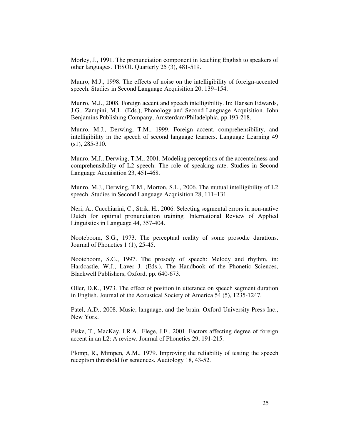Morley, J., 1991. The pronunciation component in teaching English to speakers of other languages. TESOL Quarterly 25 (3), 481-519.

Munro, M.J., 1998. The effects of noise on the intelligibility of foreign-accented speech. Studies in Second Language Acquisition 20, 139–154.

Munro, M.J., 2008. Foreign accent and speech intelligibility. In: Hansen Edwards, J.G., Zampini, M.L. (Eds.), Phonology and Second Language Acquisition. John Benjamins Publishing Company, Amsterdam/Philadelphia, pp.193-218.

Munro, M.J., Derwing, T.M., 1999. Foreign accent, comprehensibility, and intelligibility in the speech of second language learners. Language Learning 49 (s1), 285-310.

Munro, M.J., Derwing, T.M., 2001. Modeling perceptions of the accentedness and comprehensibility of L2 speech: The role of speaking rate. Studies in Second Language Acquisition 23, 451-468.

Munro, M.J., Derwing, T.M., Morton, S.L., 2006. The mutual intelligibility of L2 speech. Studies in Second Language Acquisition 28, 111–131.

Neri, A., Cucchiarini, C., Strik, H., 2006. Selecting segmental errors in non-native Dutch for optimal pronunciation training*.* International Review of Applied Linguistics in Language 44, 357-404.

Nooteboom, S.G., 1973. The perceptual reality of some prosodic durations. Journal of Phonetics 1 (1), 25-45.

Nooteboom, S.G., 1997. The prosody of speech: Melody and rhythm, in: Hardcastle, W.J., Laver J. (Eds.), The Handbook of the Phonetic Sciences, Blackwell Publishers, Oxford, pp. 640-673.

Oller, D.K., 1973. The effect of position in utterance on speech segment duration in English. Journal of the Acoustical Society of America 54 (5), 1235-1247.

Patel, A.D., 2008. Music, language, and the brain. Oxford University Press Inc., New York.

Piske, T., MacKay, I.R.A., Flege, J.E., 2001. Factors affecting degree of foreign accent in an L2: A review. Journal of Phonetics 29, 191-215.

Plomp, R., Mimpen, A.M., 1979. Improving the reliability of testing the speech reception threshold for sentences. Audiology 18, 43-52.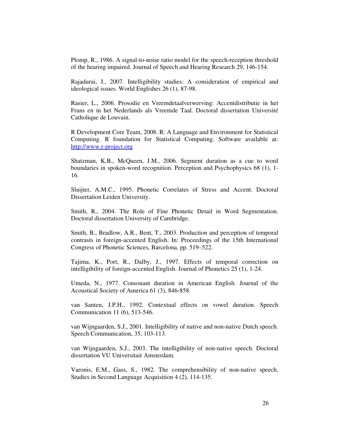Plomp, R., 1986. A signal-to-noise ratio model for the speech-reception threshold of the hearing impaired. Journal of Speech and Hearing Research 29, 146-154.

Rajadurai, J., 2007. Intelligibility studies: A consideration of empirical and ideological issues. World Englishes 26 (1), 87-98.

Rasier, L., 2006. Prosodie en Vreemdetaalverwerving: Accentdistributie in het Frans en in het Nederlands als Vreemde Taal. Doctoral dissertation Université Catholique de Louvain.

R Development Core Team, 2008. R: A Language and Environment for Statistical Computing. R foundation for Statistical Computing. Software available at: http://www.r-project.org

Shatzman, K.B., McQueen, J.M., 2006. Segment duration as a cue to word boundaries in spoken-word recognition. Perception and Psychophysics 68 (1), 1- 16.

Sluijter, A.M.C., 1995. Phonetic Correlates of Stress and Accent. Doctoral Dissertation Leiden University.

Smith, R., 2004. The Role of Fine Phonetic Detail in Word Segmentation. Doctoral dissertation University of Cambridge.

Smith, B., Bradlow, A.R., Bent, T., 2003. Production and perception of temporal contrasts in foreign-accented English. In: Proceedings of the 15th International Congress of Phonetic Sciences, Barcelona, pp. 519–522.

Tajima, K., Port, R., Dalby, J., 1997. Effects of temporal correction on intelligibility of foreign-accented English. Journal of Phonetics 25 (1), 1-24.

Umeda, N., 1977. Consonant duration in American English. Journal of the Acoustical Society of America 61 (3), 846-858.

van Santen, J.P.H., 1992. Contextual effects on vowel duration. Speech Communication 11 (6), 513-546.

van Wijngaarden, S.J., 2001. Intelligibility of native and non-native Dutch speech. Speech Communication, 35, 103-113.

van Wijngaarden, S.J., 2003. The intelligibility of non-native speech. Doctoral dissertation VU Universitair Amsterdam.

Varonis, E.M., Gass, S., 1982. The comprehensibility of non-native speech. Studies in Second Language Acquisition 4 (2), 114-135.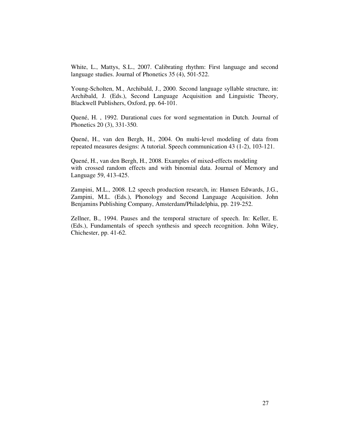White, L., Mattys, S.L., 2007. Calibrating rhythm: First language and second language studies. Journal of Phonetics 35 (4), 501-522.

Young-Scholten, M., Archibald, J., 2000. Second language syllable structure, in: Archibald, J. (Eds.), Second Language Acquisition and Linguistic Theory, Blackwell Publishers, Oxford, pp. 64-101.

Quené, H. , 1992. Durational cues for word segmentation in Dutch. Journal of Phonetics 20 (3), 331-350.

Quené, H., van den Bergh, H., 2004. On multi-level modeling of data from repeated measures designs: A tutorial. Speech communication 43 (1-2), 103-121.

Quené, H., van den Bergh, H., 2008. Examples of mixed-effects modeling with crossed random effects and with binomial data. Journal of Memory and Language 59, 413-425.

Zampini, M.L., 2008. L2 speech production research, in: Hansen Edwards, J.G., Zampini, M.L. (Eds.), Phonology and Second Language Acquisition. John Benjamins Publishing Company, Amsterdam/Philadelphia, pp. 219-252.

Zellner, B., 1994. Pauses and the temporal structure of speech. In: Keller, E. (Eds.), Fundamentals of speech synthesis and speech recognition. John Wiley, Chichester, pp. 41-62.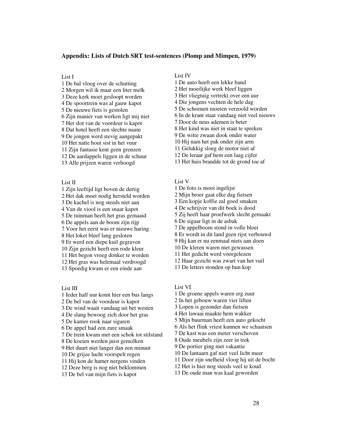#### **Appendix: Lists of Dutch SRT test-sentences (Plomp and Mimpen, 1979)**

List I

1 De bal vloog over de schutting 2 Morgen wil ik maar een liter melk 3 Deze kerk moet gesloopt worden 4 De spoortrein was al gauw kapot 5 De nieuwe fiets is gestolen 6 Zijn manier van werken ligt mij niet 7 Het slot van de voordeur is kapot 8 Dat hotel heeft een slechte naam 9 De jongen werd stevig aangepakt 10 Het natte hout sist in het vuur 11 Zijn fantasie kent geen grenzen 12 De aardappels liggen in de schuur 13 Alle prijzen waren verhoogd

List II

1 Zijn leeftijd ligt boven de dertig 2 Het dak moet nodig hersteld worden 3 De kachel is nog steeds niet aan 4 Van de viool is een snaar kapot 5 De tuinman heeft het gras gemaaid 6 De appels aan de boom zijn rijp 7 Voor het eerst was er nieuwe haring 8 Het loket bleef lang gesloten 9 Er werd een diepe kuil gegraven 10 Zijn gezicht heeft een rode kleur 11 Het begon vroeg donker te worden 12 Het gras was helemaal verdroogd 13 Spoedig kwam er een einde aan

List III

1 Ieder half uur komt hier een bus langs 2 De bel van de voordeur is kapot 3 De wind waait vandaag uit het westen 4 De slang bewoog zich door het gras 5 De kamer rook naar sigaren 6 De appel had een zure smaak 7 De trein kwam met een schok tot stilstand 8 De koeien werden juist gemolken 9 Het duurt niet langer dan een minuut 10 De grijze lucht voorspelt regen 11 Hij kon de hamer nergens vinden 12 Deze berg is nog niet beklommen 13 De bel van mijn fiets is kapot

## List IV

- 1 De auto heeft een lekke band
- 2 Het moeilijke werk bleef liggen
- 3 Het vliegtuig vertrekt over een uur
- 4 Die jongens vechten de hele dag
- 5 De schoenen moeten verzoold worden
- 6 In de krant staat vandaag niet veel nieuws
- 7 Door de neus ademen is beter
- 8 Het kind was niet in staat te spreken
- 9 De witte zwaan dook onder water
- 10 Hij nam het pak onder zijn arm
- 11 Gelukkig sloeg de motor niet af
- 12 De leraar gaf hem een laag cijfer
- 13 Het huis brandde tot de grond toe af

#### List V

- 1 De foto is mooi ingelijst
- 2 Mijn broer gaat elke dag fietsen
- 3 Een kopje koffie zal goed smaken
- 4 De schrijver van dit boek is dood
- 5 Zij heeft haar proefwerk slecht gemaakt
- 6 De sigaar ligt in de asbak
- 7 De appelboom stond in volle bloei
- 8 Er wordt in dit land geen rijst verbouwd
- 9 Hij kan er nu eenmaal niets aan doen
- 10 De kleren waren niet gewassen
- 11 Het gedicht werd voorgelezen
- 12 Haar gezicht was zwart van het vuil
- 13 De letters stonden op hun kop

#### List VI

- 1 De groene appels waren erg zuur
- 2 In het gebouw waren vier liften
- 3 Lopen is gezonder dan fietsen
- 4 Het lawaai maakte hem wakker
- 5 Mijn buurman heeft een auto gekocht
- 6 Als het flink vriest kunnen we schaatsen
- 7 De kast was een meter verschoven
- 8 Oude meubels zijn zeer in trek
- 9 De portier ging met vakantie
- 10 De lantaarn gaf niet veel licht meer
- 11 Door zijn snelheid vloog hij uit de bocht
- 12 Het is hier nog steeds veel te koud
- 13 De oude man was kaal geworden